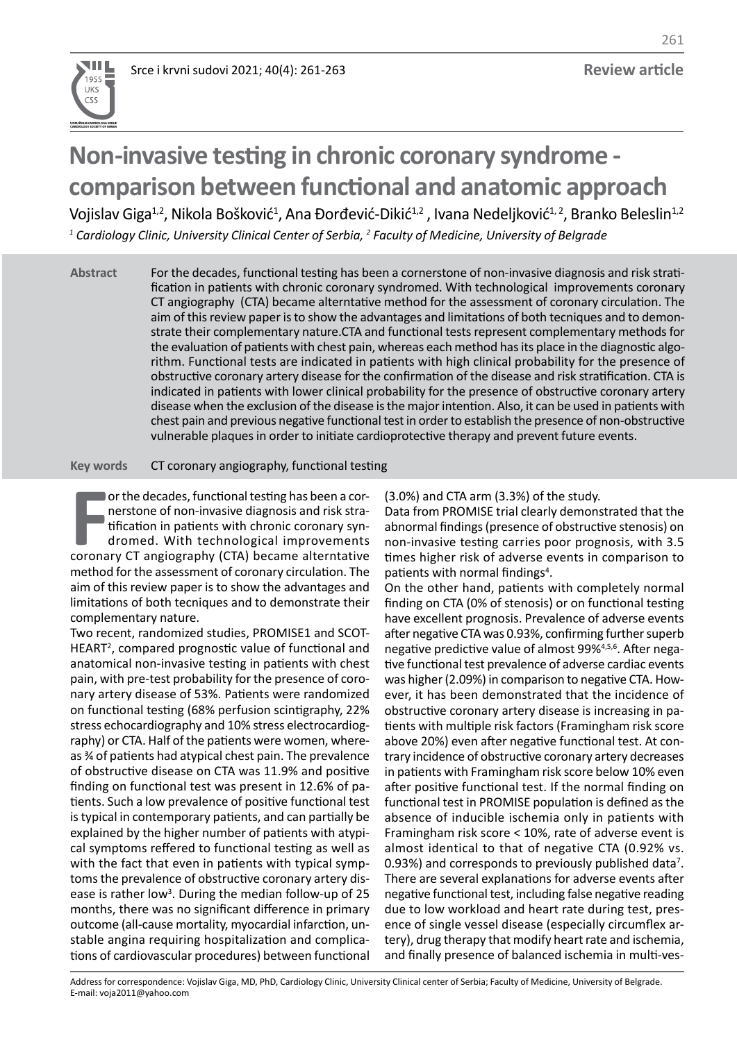

# **Non-invasive testing in chronic coronary syndrome comparison between functional and anatomic approach**

Vojislav Giga<sup>1,2</sup>, Nikola Bošković<sup>1</sup>, Ana Đorđević-Dikić<sup>1,2</sup> , Ivana Nedeljković<sup>1,2</sup>, Branko Beleslin<sup>1,2</sup> *1 Cardiology Clinic, University Clinical Center of Serbia, <sup>2</sup> Faculty of Medicine, University of Belgrade*

For the decades, functional testing has been a cornerstone of non-invasive diagnosis and risk stratification in patients with chronic coronary syndromed. With technological improvements coronary CT angiography (CTA) became alterntative method for the assessment of coronary circulation. The aim of this review paper is to show the advantages and limitations of both tecniques and to demonstrate their complementary nature.CTA and functional tests represent complementary methods for the evaluation of patients with chest pain, whereas each method has its place in the diagnostic algorithm. Functional tests are indicated in patients with high clinical probability for the presence of obstructive coronary artery disease for the confirmation of the disease and risk stratification. CTA is indicated in patients with lower clinical probability for the presence of obstructive coronary artery disease when the exclusion of the disease is the major intention. Also, it can be used in patients with chest pain and previous negative functional test in order to establish the presence of non-obstructive vulnerable plaques in order to initiate cardioprotective therapy and prevent future events. **Abstract**

CT coronary angiography, functional testing **Key words**

**FR** or the decades, functional testing has been a cornerstone of non-invasive diagnosis and risk stratification in patients with chronic coronary syndromed. With technological improvements coronary CT angiography (CTA) be or the decades, functional testing has been a cornerstone of non-invasive diagnosis and risk stratification in patients with chronic coronary syndromed. With technological improvements method for the assessment of coronary circulation. The aim of this review paper is to show the advantages and limitations of both tecniques and to demonstrate their complementary nature.

Two recent, randomized studies, PROMISE1 and SCOT-HEART<sup>2</sup>, compared prognostic value of functional and anatomical non-invasive testing in patients with chest pain, with pre-test probability for the presence of coronary artery disease of 53%. Patients were randomized on functional testing (68% perfusion scintigraphy, 22% stress echocardiography and 10% stress electrocardiography) or CTA. Half of the patients were women, whereas ¾ of patients had atypical chest pain. The prevalence of obstructive disease on CTA was 11.9% and positive finding on functional test was present in 12.6% of patients. Such a low prevalence of positive functional test is typical in contemporary patients, and can partially be explained by the higher number of patients with atypical symptoms reffered to functional testing as well as with the fact that even in patients with typical symptoms the prevalence of obstructive coronary artery disease is rather low<sup>3</sup>. During the median follow-up of 25 months, there was no significant difference in primary outcome (all-cause mortality, myocardial infarction, unstable angina requiring hospitalization and complications of cardiovascular procedures) between functional

(3.0%) and CTA arm (3.3%) of the study.

Data from PROMISE trial clearly demonstrated that the abnormal findings (presence of obstructive stenosis) on non-invasive testing carries poor prognosis, with 3.5 times higher risk of adverse events in comparison to patients with normal findings<sup>4</sup>.

On the other hand, patients with completely normal finding on CTA (0% of stenosis) or on functional testing have excellent prognosis. Prevalence of adverse events after negative CTA was 0.93%, confirming further superb negative predictive value of almost 99%4,5,6. After negative functional test prevalence of adverse cardiac events was higher (2.09%) in comparison to negative CTA. However, it has been demonstrated that the incidence of obstructive coronary artery disease is increasing in patients with multiple risk factors (Framingham risk score above 20%) even after negative functional test. At contrary incidence of obstructive coronary artery decreases in patients with Framingham risk score below 10% even after positive functional test. If the normal finding on functional test in PROMISE population is defined as the absence of inducible ischemia only in patients with Framingham risk score < 10%, rate of adverse event is almost identical to that of negative CTA (0.92% vs. 0.93%) and corresponds to previously published data<sup>7</sup>. There are several explanations for adverse events after negative functional test, including false negative reading due to low workload and heart rate during test, presence of single vessel disease (especially circumflex artery), drug therapy that modify heart rate and ischemia, and finally presence of balanced ischemia in multi-ves-

Address for correspondence: Vojislav Giga, MD, PhD, Cardiology Clinic, University Clinical center of Serbia; Faculty of Medicine, University of Belgrade. E-mail: voja2011@yahoo.com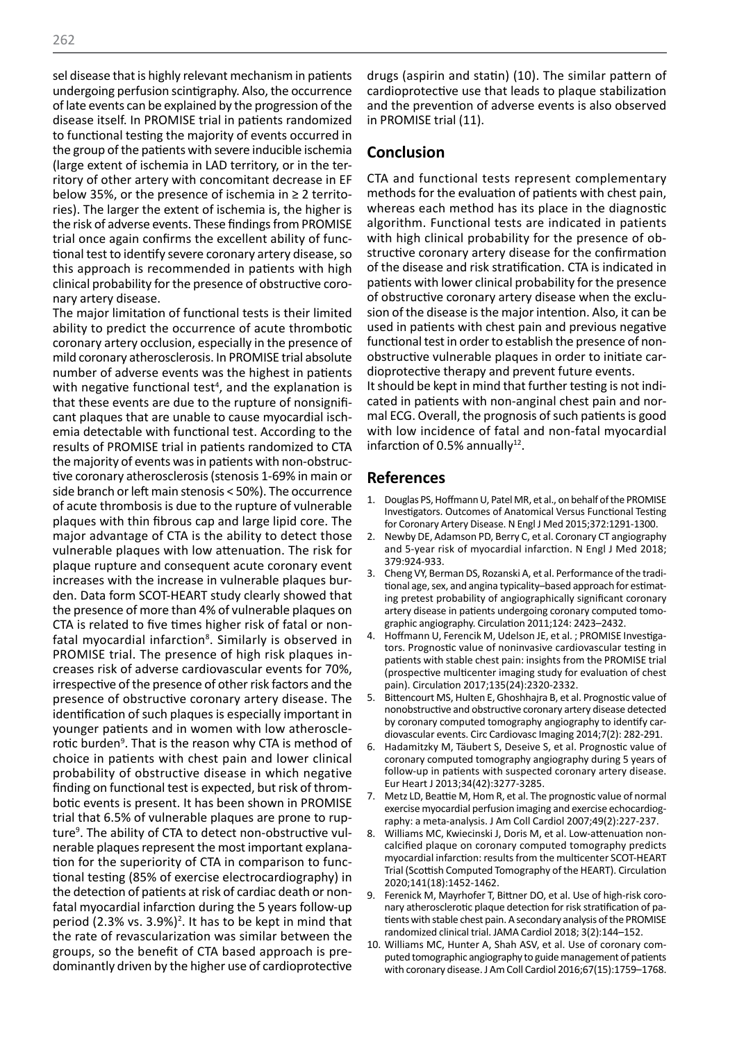sel disease that is highly relevant mechanism in patients undergoing perfusion scintigraphy. Also, the occurrence of late events can be explained by the progression of the disease itself. In PROMISE trial in patients randomized to functional testing the majority of events occurred in the group of the patients with severe inducible ischemia (large extent of ischemia in LAD territory, or in the territory of other artery with concomitant decrease in EF below 35%, or the presence of ischemia in ≥ 2 territories). The larger the extent of ischemia is, the higher is the risk of adverse events. These findings from PROMISE trial once again confirms the excellent ability of functional test to identify severe coronary artery disease, so this approach is recommended in patients with high clinical probability for the presence of obstructive coronary artery disease.

The major limitation of functional tests is their limited ability to predict the occurrence of acute thrombotic coronary artery occlusion, especially in the presence of mild coronary atherosclerosis. In PROMISE trial absolute number of adverse events was the highest in patients with negative functional test<sup>4</sup>, and the explanation is that these events are due to the rupture of nonsignificant plaques that are unable to cause myocardial ischemia detectable with functional test. According to the results of PROMISE trial in patients randomized to CTA the majority of events was in patients with non-obstructive coronary atherosclerosis (stenosis 1-69% in main or side branch or left main stenosis < 50%). The occurrence of acute thrombosis is due to the rupture of vulnerable plaques with thin fibrous cap and large lipid core. The major advantage of CTA is the ability to detect those vulnerable plaques with low attenuation. The risk for plaque rupture and consequent acute coronary event increases with the increase in vulnerable plaques burden. Data form SCOT-HEART study clearly showed that the presence of more than 4% of vulnerable plaques on CTA is related to five times higher risk of fatal or nonfatal myocardial infarction<sup>8</sup>. Similarly is observed in PROMISE trial. The presence of high risk plaques increases risk of adverse cardiovascular events for 70%, irrespective of the presence of other risk factors and the presence of obstructive coronary artery disease. The identification of such plaques is especially important in younger patients and in women with low atherosclerotic burden<sup>9</sup>. That is the reason why CTA is method of choice in patients with chest pain and lower clinical probability of obstructive disease in which negative finding on functional test is expected, but risk of thrombotic events is present. It has been shown in PROMISE trial that 6.5% of vulnerable plaques are prone to rupture<sup>9</sup>. The ability of CTA to detect non-obstructive vulnerable plaques represent the most important explanation for the superiority of CTA in comparison to functional testing (85% of exercise electrocardiography) in the detection of patients at risk of cardiac death or nonfatal myocardial infarction during the 5 years follow-up period (2.3% vs.  $3.9\%)$ <sup>2</sup>. It has to be kept in mind that the rate of revascularization was similar between the groups, so the benefit of CTA based approach is predominantly driven by the higher use of cardioprotective

drugs (aspirin and statin) (10). The similar pattern of cardioprotective use that leads to plaque stabilization and the prevention of adverse events is also observed in PROMISE trial (11).

#### **Conclusion**

CTA and functional tests represent complementary methods for the evaluation of patients with chest pain, whereas each method has its place in the diagnostic algorithm. Functional tests are indicated in patients with high clinical probability for the presence of obstructive coronary artery disease for the confirmation of the disease and risk stratification. CTA is indicated in patients with lower clinical probability for the presence of obstructive coronary artery disease when the exclusion of the disease is the major intention. Also, it can be used in patients with chest pain and previous negative functional test in order to establish the presence of nonobstructive vulnerable plaques in order to initiate cardioprotective therapy and prevent future events. It should be kept in mind that further testing is not indicated in patients with non-anginal chest pain and normal ECG. Overall, the prognosis of such patients is good with low incidence of fatal and non-fatal myocardial

#### **References**

infarction of 0.5% annually<sup>12</sup>.

- 1. Douglas PS, Hoffmann U, Patel MR, et al., on behalf of the PROMISE Investigators. Outcomes of Anatomical Versus Functional Testing for Coronary Artery Disease. N Engl J Med 2015;372:1291-1300.
- 2. Newby DE, Adamson PD, Berry C, et al. Coronary CT angiography and 5-year risk of myocardial infarction. N Engl J Med 2018; 379:924-933.
- 3. Cheng VY, Berman DS, Rozanski A, et al. Performance of the traditional age, sex, and angina typicality–based approach for estimating pretest probability of angiographically significant coronary artery disease in patients undergoing coronary computed tomographic angiography. Circulation 2011;124: 2423–2432.
- 4. Hoffmann U, Ferencik M, Udelson JE, et al. ; PROMISE Investigators. Prognostic value of noninvasive cardiovascular testing in patients with stable chest pain: insights from the PROMISE trial (prospective multicenter imaging study for evaluation of chest pain). Circulation 2017;135(24):2320-2332.
- 5. Bittencourt MS, Hulten E, Ghoshhajra B, et al. Prognostic value of nonobstructive and obstructive coronary artery disease detected by coronary computed tomography angiography to identify cardiovascular events. Circ Cardiovasc Imaging 2014;7(2): 282-291.
- 6. Hadamitzky M, Täubert S, Deseive S, et al. Prognostic value of coronary computed tomography angiography during 5 years of follow-up in patients with suspected coronary artery disease. Eur Heart J 2013;34(42):3277-3285.
- 7. Metz LD, Beattie M, Hom R, et al. The prognostic value of normal exercise myocardial perfusion imaging and exercise echocardiography: a meta-analysis. J Am Coll Cardiol 2007;49(2):227-237.
- 8. Williams MC, Kwiecinski J, Doris M, et al. Low-attenuation noncalcified plaque on coronary computed tomography predicts myocardial infarction: results from the multicenter SCOT-HEART Trial (Scottish Computed Tomography of the HEART). Circulation 2020;141(18):1452-1462.
- 9. Ferenick M, Mayrhofer T, Bittner DO, et al. Use of high-risk coronary atherosclerotic plaque detection for risk stratification of patients with stable chest pain. A secondary analysis of the PROMISE randomized clinical trial. JAMA Cardiol 2018; 3(2):144–152.
- 10. Williams MC, Hunter A, Shah ASV, et al. Use of coronary computed tomographic angiography to guide management of patients with coronary disease. J Am Coll Cardiol 2016;67(15):1759–1768.